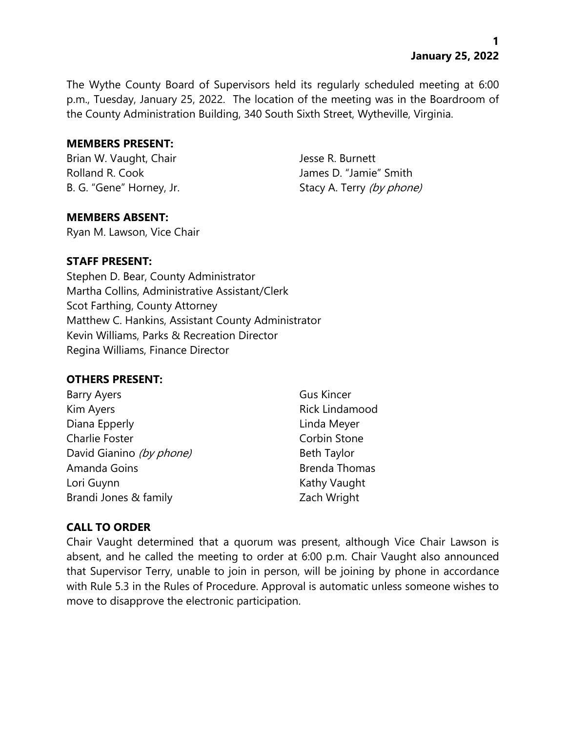**1 January 25, 2022**

The Wythe County Board of Supervisors held its regularly scheduled meeting at 6:00 p.m., Tuesday, January 25, 2022. The location of the meeting was in the Boardroom of the County Administration Building, 340 South Sixth Street, Wytheville, Virginia.

#### **MEMBERS PRESENT:**

Brian W. Vaught, Chair **Jesse R. Burnett** 

Rolland R. Cook James D. "Jamie" Smith B. G. "Gene" Horney, Jr. Stacy A. Terry (by phone)

#### **MEMBERS ABSENT:**

Ryan M. Lawson, Vice Chair

### **STAFF PRESENT:**

Stephen D. Bear, County Administrator Martha Collins, Administrative Assistant/Clerk Scot Farthing, County Attorney Matthew C. Hankins, Assistant County Administrator Kevin Williams, Parks & Recreation Director Regina Williams, Finance Director

#### **OTHERS PRESENT:**

| <b>Barry Ayers</b>       | <b>Gus Kincer</b>    |
|--------------------------|----------------------|
| Kim Ayers                | Rick Lindamood       |
| Diana Epperly            | Linda Meyer          |
| <b>Charlie Foster</b>    | Corbin Stone         |
| David Gianino (by phone) | <b>Beth Taylor</b>   |
| Amanda Goins             | <b>Brenda Thomas</b> |
| Lori Guynn               | Kathy Vaught         |
| Brandi Jones & family    | Zach Wright          |

## **CALL TO ORDER**

Chair Vaught determined that a quorum was present, although Vice Chair Lawson is absent, and he called the meeting to order at 6:00 p.m. Chair Vaught also announced that Supervisor Terry, unable to join in person, will be joining by phone in accordance with Rule 5.3 in the Rules of Procedure. Approval is automatic unless someone wishes to move to disapprove the electronic participation.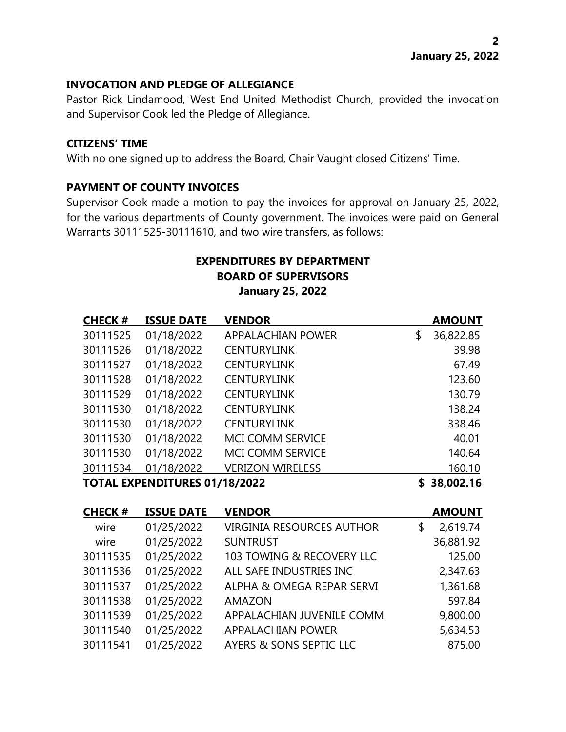## **INVOCATION AND PLEDGE OF ALLEGIANCE**

Pastor Rick Lindamood, West End United Methodist Church, provided the invocation and Supervisor Cook led the Pledge of Allegiance.

### **CITIZENS' TIME**

With no one signed up to address the Board, Chair Vaught closed Citizens' Time.

## **PAYMENT OF COUNTY INVOICES**

Supervisor Cook made a motion to pay the invoices for approval on January 25, 2022, for the various departments of County government. The invoices were paid on General Warrants 30111525-30111610, and two wire transfers, as follows:

# **EXPENDITURES BY DEPARTMENT BOARD OF SUPERVISORS January 25, 2022**

| <b>CHECK#</b> | <b>ISSUE DATE</b>                    | <b>VENDOR</b>            |           | <b>AMOUNT</b> |
|---------------|--------------------------------------|--------------------------|-----------|---------------|
| 30111525      | 01/18/2022                           | <b>APPALACHIAN POWER</b> | \$        | 36,822.85     |
| 30111526      | 01/18/2022                           | <b>CENTURYLINK</b>       |           | 39.98         |
| 30111527      | 01/18/2022                           | <b>CENTURYLINK</b>       |           | 67.49         |
| 30111528      | 01/18/2022                           | <b>CENTURYLINK</b>       |           | 123.60        |
| 30111529      | 01/18/2022                           | <b>CENTURYLINK</b>       |           | 130.79        |
| 30111530      | 01/18/2022                           | <b>CENTURYLINK</b>       |           | 138.24        |
| 30111530      | 01/18/2022                           | <b>CENTURYLINK</b>       |           | 338.46        |
| 30111530      | 01/18/2022                           | <b>MCI COMM SERVICE</b>  |           | 40.01         |
| 30111530      | 01/18/2022                           | <b>MCI COMM SERVICE</b>  |           | 140.64        |
| 30111534      | 01/18/2022                           | <b>VERIZON WIRELESS</b>  |           | 160.10        |
|               | <b>TOTAL EXPENDITURES 01/18/2022</b> |                          | 38,002.16 |               |

| <b>CHECK#</b> | <b>ISSUE DATE</b> | <b>VENDOR</b>                    | <b>AMOUNT</b>  |
|---------------|-------------------|----------------------------------|----------------|
| wire          | 01/25/2022        | <b>VIRGINIA RESOURCES AUTHOR</b> | \$<br>2,619.74 |
| wire          | 01/25/2022        | <b>SUNTRUST</b>                  | 36,881.92      |
| 30111535      | 01/25/2022        | 103 TOWING & RECOVERY LLC        | 125.00         |
| 30111536      | 01/25/2022        | ALL SAFE INDUSTRIES INC          | 2,347.63       |
| 30111537      | 01/25/2022        | ALPHA & OMEGA REPAR SERVI        | 1,361.68       |
| 30111538      | 01/25/2022        | <b>AMAZON</b>                    | 597.84         |
| 30111539      | 01/25/2022        | APPALACHIAN JUVENILE COMM        | 9,800.00       |
| 30111540      | 01/25/2022        | <b>APPALACHIAN POWER</b>         | 5,634.53       |
| 30111541      | 01/25/2022        | AYERS & SONS SEPTIC LLC          | 875.00         |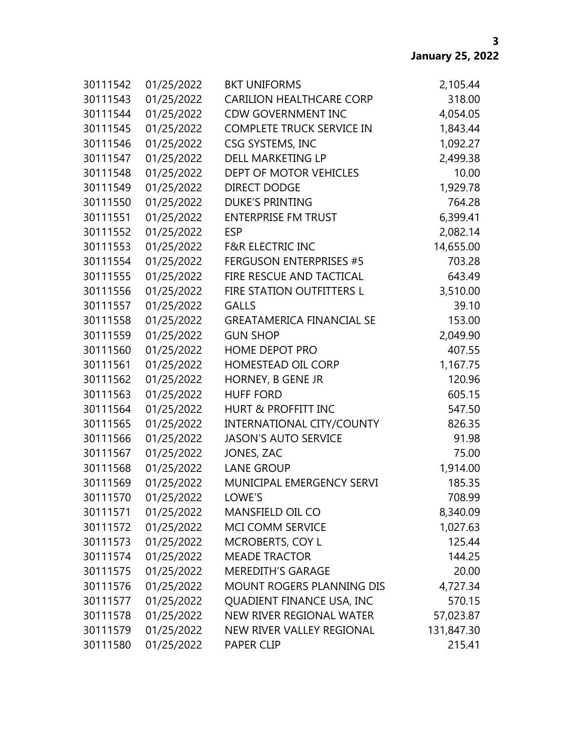| 30111542 | 01/25/2022 | <b>BKT UNIFORMS</b>              | 2,105.44   |
|----------|------------|----------------------------------|------------|
| 30111543 | 01/25/2022 | <b>CARILION HEALTHCARE CORP</b>  | 318.00     |
| 30111544 | 01/25/2022 | <b>CDW GOVERNMENT INC</b>        | 4,054.05   |
| 30111545 | 01/25/2022 | <b>COMPLETE TRUCK SERVICE IN</b> | 1,843.44   |
| 30111546 | 01/25/2022 | CSG SYSTEMS, INC                 | 1,092.27   |
| 30111547 | 01/25/2022 | DELL MARKETING LP                | 2,499.38   |
| 30111548 | 01/25/2022 | DEPT OF MOTOR VEHICLES           | 10.00      |
| 30111549 | 01/25/2022 | <b>DIRECT DODGE</b>              | 1,929.78   |
| 30111550 | 01/25/2022 | <b>DUKE'S PRINTING</b>           | 764.28     |
| 30111551 | 01/25/2022 | <b>ENTERPRISE FM TRUST</b>       | 6,399.41   |
| 30111552 | 01/25/2022 | <b>ESP</b>                       | 2,082.14   |
| 30111553 | 01/25/2022 | <b>F&amp;R ELECTRIC INC</b>      | 14,655.00  |
| 30111554 | 01/25/2022 | <b>FERGUSON ENTERPRISES #5</b>   | 703.28     |
| 30111555 | 01/25/2022 | FIRE RESCUE AND TACTICAL         | 643.49     |
| 30111556 | 01/25/2022 | FIRE STATION OUTFITTERS L        | 3,510.00   |
| 30111557 | 01/25/2022 | <b>GALLS</b>                     | 39.10      |
| 30111558 | 01/25/2022 | <b>GREATAMERICA FINANCIAL SE</b> | 153.00     |
| 30111559 | 01/25/2022 | <b>GUN SHOP</b>                  | 2,049.90   |
| 30111560 | 01/25/2022 | HOME DEPOT PRO                   | 407.55     |
| 30111561 | 01/25/2022 | <b>HOMESTEAD OIL CORP</b>        | 1,167.75   |
| 30111562 | 01/25/2022 | HORNEY, B GENE JR                | 120.96     |
| 30111563 | 01/25/2022 | <b>HUFF FORD</b>                 | 605.15     |
| 30111564 | 01/25/2022 | <b>HURT &amp; PROFFITT INC</b>   | 547.50     |
| 30111565 | 01/25/2022 | INTERNATIONAL CITY/COUNTY        | 826.35     |
| 30111566 | 01/25/2022 | <b>JASON'S AUTO SERVICE</b>      | 91.98      |
| 30111567 | 01/25/2022 | JONES, ZAC                       | 75.00      |
| 30111568 | 01/25/2022 | <b>LANE GROUP</b>                | 1,914.00   |
| 30111569 | 01/25/2022 | MUNICIPAL EMERGENCY SERVI        | 185.35     |
| 30111570 | 01/25/2022 | LOWE'S                           | 708.99     |
| 30111571 | 01/25/2022 | MANSFIELD OIL CO                 | 8,340.09   |
| 30111572 | 01/25/2022 | MCI COMM SERVICE                 | 1,027.63   |
| 30111573 | 01/25/2022 | <b>MCROBERTS, COY L</b>          | 125.44     |
| 30111574 | 01/25/2022 | <b>MEADE TRACTOR</b>             | 144.25     |
| 30111575 | 01/25/2022 | <b>MEREDITH'S GARAGE</b>         | 20.00      |
| 30111576 | 01/25/2022 | MOUNT ROGERS PLANNING DIS        | 4,727.34   |
| 30111577 | 01/25/2022 | QUADIENT FINANCE USA, INC        | 570.15     |
| 30111578 | 01/25/2022 | NEW RIVER REGIONAL WATER         | 57,023.87  |
| 30111579 | 01/25/2022 | NEW RIVER VALLEY REGIONAL        | 131,847.30 |
| 30111580 | 01/25/2022 | PAPER CLIP                       | 215.41     |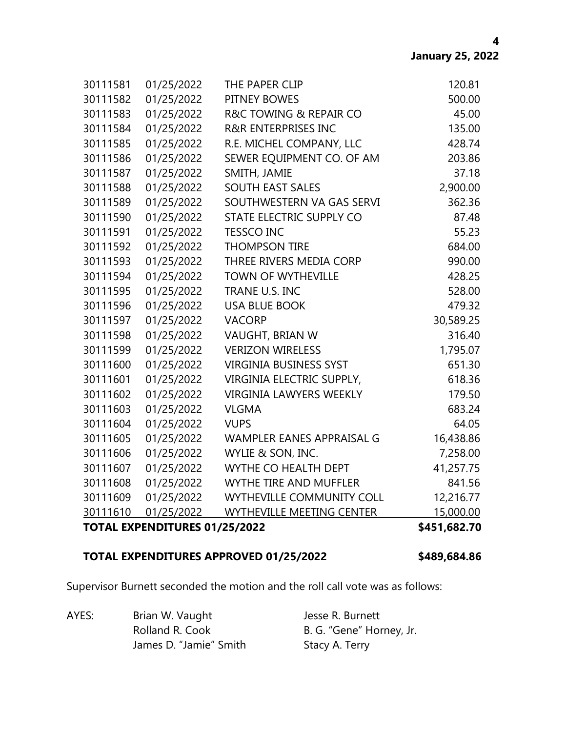|          | <b>TOTAL EXPENDITURES 01/25/2022</b> |                                  | \$451,682.70 |
|----------|--------------------------------------|----------------------------------|--------------|
| 30111610 | 01/25/2022                           | <b>WYTHEVILLE MEETING CENTER</b> | 15,000.00    |
| 30111609 | 01/25/2022                           | WYTHEVILLE COMMUNITY COLL        | 12,216.77    |
| 30111608 | 01/25/2022                           | <b>WYTHE TIRE AND MUFFLER</b>    | 841.56       |
| 30111607 | 01/25/2022                           | WYTHE CO HEALTH DEPT             | 41,257.75    |
| 30111606 | 01/25/2022                           | WYLIE & SON, INC.                | 7,258.00     |
| 30111605 | 01/25/2022                           | WAMPLER EANES APPRAISAL G        | 16,438.86    |
| 30111604 | 01/25/2022                           | <b>VUPS</b>                      | 64.05        |
| 30111603 | 01/25/2022                           | <b>VLGMA</b>                     | 683.24       |
| 30111602 | 01/25/2022                           | <b>VIRGINIA LAWYERS WEEKLY</b>   | 179.50       |
| 30111601 | 01/25/2022                           | VIRGINIA ELECTRIC SUPPLY,        | 618.36       |
| 30111600 | 01/25/2022                           | <b>VIRGINIA BUSINESS SYST</b>    | 651.30       |
| 30111599 | 01/25/2022                           | <b>VERIZON WIRELESS</b>          | 1,795.07     |
| 30111598 | 01/25/2022                           | VAUGHT, BRIAN W                  | 316.40       |
| 30111597 | 01/25/2022                           | <b>VACORP</b>                    | 30,589.25    |
| 30111596 | 01/25/2022                           | <b>USA BLUE BOOK</b>             | 479.32       |
| 30111595 | 01/25/2022                           | TRANE U.S. INC                   | 528.00       |
| 30111594 | 01/25/2022                           | <b>TOWN OF WYTHEVILLE</b>        | 428.25       |
| 30111593 | 01/25/2022                           | THREE RIVERS MEDIA CORP          | 990.00       |
| 30111592 | 01/25/2022                           | <b>THOMPSON TIRE</b>             | 684.00       |
| 30111591 | 01/25/2022                           | <b>TESSCO INC</b>                | 55.23        |
| 30111590 | 01/25/2022                           | STATE ELECTRIC SUPPLY CO         | 87.48        |
| 30111589 | 01/25/2022                           | SOUTHWESTERN VA GAS SERVI        | 362.36       |
| 30111588 | 01/25/2022                           | <b>SOUTH EAST SALES</b>          | 2,900.00     |
| 30111587 | 01/25/2022                           | SMITH, JAMIE                     | 37.18        |
| 30111586 | 01/25/2022                           | SEWER EQUIPMENT CO. OF AM        | 203.86       |
| 30111585 | 01/25/2022                           | R.E. MICHEL COMPANY, LLC         | 428.74       |
| 30111584 | 01/25/2022                           | <b>R&amp;R ENTERPRISES INC</b>   | 135.00       |
| 30111583 | 01/25/2022                           | R&C TOWING & REPAIR CO           | 45.00        |
| 30111582 | 01/25/2022                           | PITNEY BOWES                     | 500.00       |
| 30111581 | 01/25/2022                           | THE PAPER CLIP                   | 120.81       |

## **TOTAL EXPENDITURES APPROVED 01/25/2022 \$489,684.86**

Supervisor Burnett seconded the motion and the roll call vote was as follows:

AYES: Brian W. Vaught Jesse R. Burnett Rolland R. Cook B. G. "Gene" Horney, Jr. James D. "Jamie" Smith Stacy A. Terry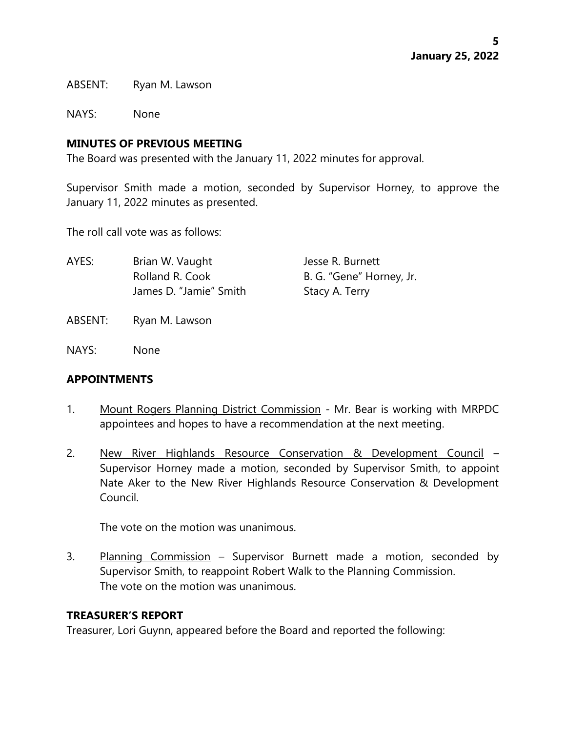ABSENT: Ryan M. Lawson

NAYS: None

### **MINUTES OF PREVIOUS MEETING**

The Board was presented with the January 11, 2022 minutes for approval.

Supervisor Smith made a motion, seconded by Supervisor Horney, to approve the January 11, 2022 minutes as presented.

The roll call vote was as follows:

| AYES: | Brian W. Vaught        | Jesse R. Burnett         |
|-------|------------------------|--------------------------|
|       | Rolland R. Cook        | B. G. "Gene" Horney, Jr. |
|       | James D. "Jamie" Smith | Stacy A. Terry           |
|       |                        |                          |

- ABSENT: Ryan M. Lawson
- NAYS: None

#### **APPOINTMENTS**

- 1. Mount Rogers Planning District Commission Mr. Bear is working with MRPDC appointees and hopes to have a recommendation at the next meeting.
- 2. New River Highlands Resource Conservation & Development Council Supervisor Horney made a motion, seconded by Supervisor Smith, to appoint Nate Aker to the New River Highlands Resource Conservation & Development Council.

The vote on the motion was unanimous.

3. Planning Commission – Supervisor Burnett made a motion, seconded by Supervisor Smith, to reappoint Robert Walk to the Planning Commission. The vote on the motion was unanimous.

#### **TREASURER'S REPORT**

Treasurer, Lori Guynn, appeared before the Board and reported the following: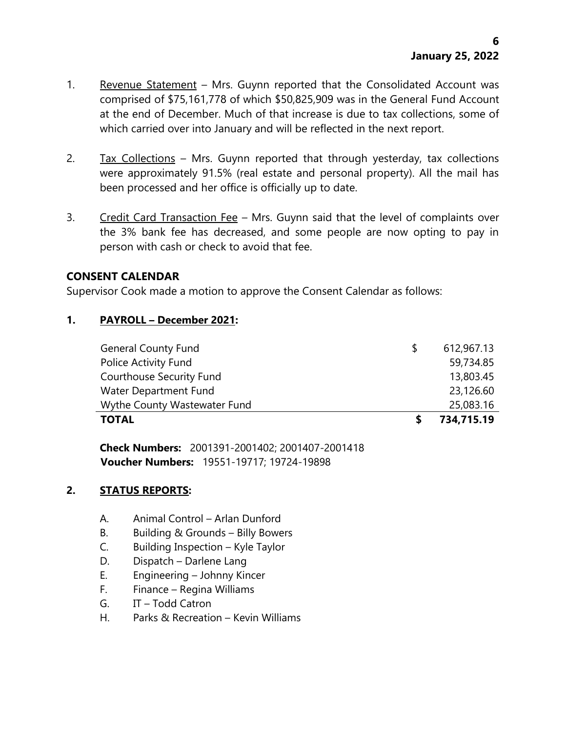- 1. Revenue Statement Mrs. Guynn reported that the Consolidated Account was comprised of \$75,161,778 of which \$50,825,909 was in the General Fund Account at the end of December. Much of that increase is due to tax collections, some of which carried over into January and will be reflected in the next report.
- 2. Tax Collections Mrs. Guynn reported that through yesterday, tax collections were approximately 91.5% (real estate and personal property). All the mail has been processed and her office is officially up to date.
- 3. Credit Card Transaction Fee Mrs. Guynn said that the level of complaints over the 3% bank fee has decreased, and some people are now opting to pay in person with cash or check to avoid that fee.

# **CONSENT CALENDAR**

Supervisor Cook made a motion to approve the Consent Calendar as follows:

# **1. PAYROLL – December 2021:**

| <b>TOTAL</b>                    | 734,715.19 |
|---------------------------------|------------|
| Wythe County Wastewater Fund    | 25,083.16  |
| Water Department Fund           | 23,126.60  |
| <b>Courthouse Security Fund</b> | 13,803.45  |
| Police Activity Fund            | 59,734.85  |
| <b>General County Fund</b>      | 612,967.13 |

**Check Numbers:** 2001391-2001402; 2001407-2001418 **Voucher Numbers:** 19551-19717; 19724-19898

## **2. STATUS REPORTS:**

- A. Animal Control Arlan Dunford
- B. Building & Grounds Billy Bowers
- C. Building Inspection Kyle Taylor
- D. Dispatch Darlene Lang
- E. Engineering Johnny Kincer
- F. Finance Regina Williams
- G. IT Todd Catron
- H. Parks & Recreation Kevin Williams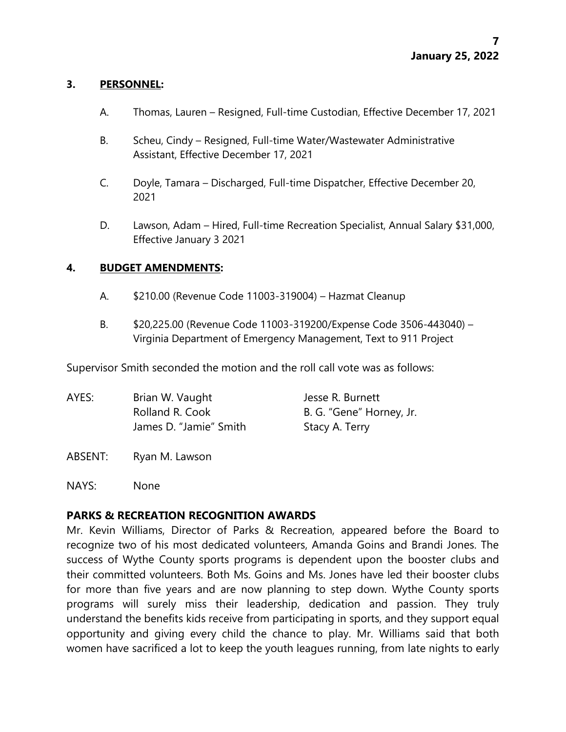### **3. PERSONNEL:**

- A. Thomas, Lauren Resigned, Full-time Custodian, Effective December 17, 2021
- B. Scheu, Cindy Resigned, Full-time Water/Wastewater Administrative Assistant, Effective December 17, 2021
- C. Doyle, Tamara Discharged, Full-time Dispatcher, Effective December 20, 2021
- D. Lawson, Adam Hired, Full-time Recreation Specialist, Annual Salary \$31,000, Effective January 3 2021

### **4. BUDGET AMENDMENTS:**

- A. \$210.00 (Revenue Code 11003-319004) Hazmat Cleanup
- B. \$20,225.00 (Revenue Code 11003-319200/Expense Code 3506-443040) Virginia Department of Emergency Management, Text to 911 Project

Supervisor Smith seconded the motion and the roll call vote was as follows:

| AYES: | Brian W. Vaught        | Jesse R. Burnett         |
|-------|------------------------|--------------------------|
|       | Rolland R. Cook        | B. G. "Gene" Horney, Jr. |
|       | James D. "Jamie" Smith | Stacy A. Terry           |

ABSENT: Ryan M. Lawson

NAYS: None

## **PARKS & RECREATION RECOGNITION AWARDS**

Mr. Kevin Williams, Director of Parks & Recreation, appeared before the Board to recognize two of his most dedicated volunteers, Amanda Goins and Brandi Jones. The success of Wythe County sports programs is dependent upon the booster clubs and their committed volunteers. Both Ms. Goins and Ms. Jones have led their booster clubs for more than five years and are now planning to step down. Wythe County sports programs will surely miss their leadership, dedication and passion. They truly understand the benefits kids receive from participating in sports, and they support equal opportunity and giving every child the chance to play. Mr. Williams said that both women have sacrificed a lot to keep the youth leagues running, from late nights to early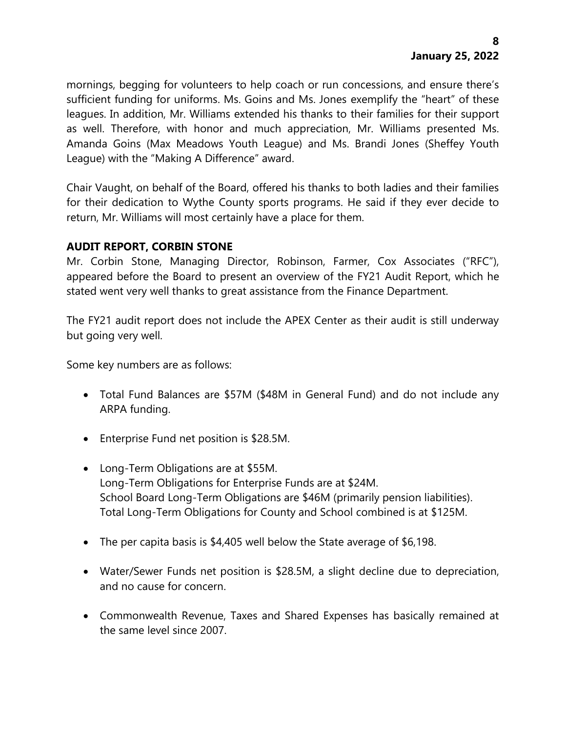mornings, begging for volunteers to help coach or run concessions, and ensure there's sufficient funding for uniforms. Ms. Goins and Ms. Jones exemplify the "heart" of these leagues. In addition, Mr. Williams extended his thanks to their families for their support as well. Therefore, with honor and much appreciation, Mr. Williams presented Ms. Amanda Goins (Max Meadows Youth League) and Ms. Brandi Jones (Sheffey Youth League) with the "Making A Difference" award.

Chair Vaught, on behalf of the Board, offered his thanks to both ladies and their families for their dedication to Wythe County sports programs. He said if they ever decide to return, Mr. Williams will most certainly have a place for them.

# **AUDIT REPORT, CORBIN STONE**

Mr. Corbin Stone, Managing Director, Robinson, Farmer, Cox Associates ("RFC"), appeared before the Board to present an overview of the FY21 Audit Report, which he stated went very well thanks to great assistance from the Finance Department.

The FY21 audit report does not include the APEX Center as their audit is still underway but going very well.

Some key numbers are as follows:

- Total Fund Balances are \$57M (\$48M in General Fund) and do not include any ARPA funding.
- Enterprise Fund net position is \$28.5M.
- Long-Term Obligations are at \$55M. Long-Term Obligations for Enterprise Funds are at \$24M. School Board Long-Term Obligations are \$46M (primarily pension liabilities). Total Long-Term Obligations for County and School combined is at \$125M.
- The per capita basis is \$4,405 well below the State average of \$6,198.
- Water/Sewer Funds net position is \$28.5M, a slight decline due to depreciation, and no cause for concern.
- Commonwealth Revenue, Taxes and Shared Expenses has basically remained at the same level since 2007.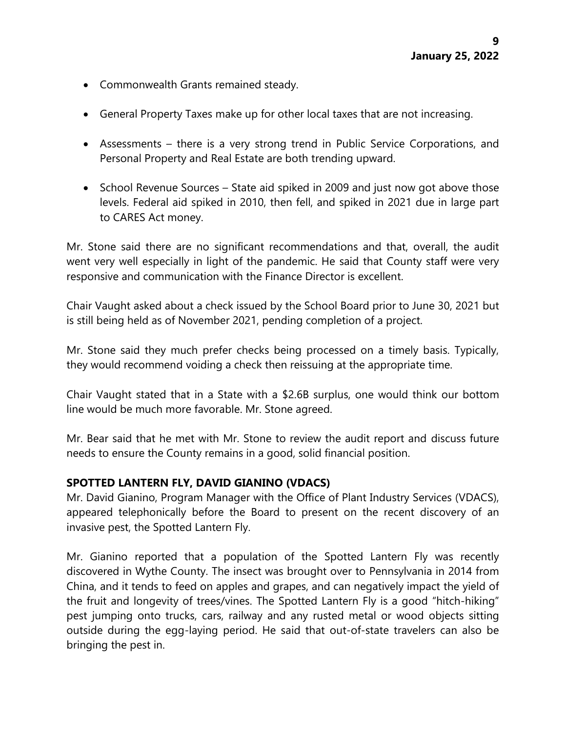- Commonwealth Grants remained steady.
- General Property Taxes make up for other local taxes that are not increasing.
- Assessments there is a very strong trend in Public Service Corporations, and Personal Property and Real Estate are both trending upward.
- School Revenue Sources State aid spiked in 2009 and just now got above those levels. Federal aid spiked in 2010, then fell, and spiked in 2021 due in large part to CARES Act money.

Mr. Stone said there are no significant recommendations and that, overall, the audit went very well especially in light of the pandemic. He said that County staff were very responsive and communication with the Finance Director is excellent.

Chair Vaught asked about a check issued by the School Board prior to June 30, 2021 but is still being held as of November 2021, pending completion of a project.

Mr. Stone said they much prefer checks being processed on a timely basis. Typically, they would recommend voiding a check then reissuing at the appropriate time.

Chair Vaught stated that in a State with a \$2.6B surplus, one would think our bottom line would be much more favorable. Mr. Stone agreed.

Mr. Bear said that he met with Mr. Stone to review the audit report and discuss future needs to ensure the County remains in a good, solid financial position.

## **SPOTTED LANTERN FLY, DAVID GIANINO (VDACS)**

Mr. David Gianino, Program Manager with the Office of Plant Industry Services (VDACS), appeared telephonically before the Board to present on the recent discovery of an invasive pest, the Spotted Lantern Fly.

Mr. Gianino reported that a population of the Spotted Lantern Fly was recently discovered in Wythe County. The insect was brought over to Pennsylvania in 2014 from China, and it tends to feed on apples and grapes, and can negatively impact the yield of the fruit and longevity of trees/vines. The Spotted Lantern Fly is a good "hitch-hiking" pest jumping onto trucks, cars, railway and any rusted metal or wood objects sitting outside during the egg-laying period. He said that out-of-state travelers can also be bringing the pest in.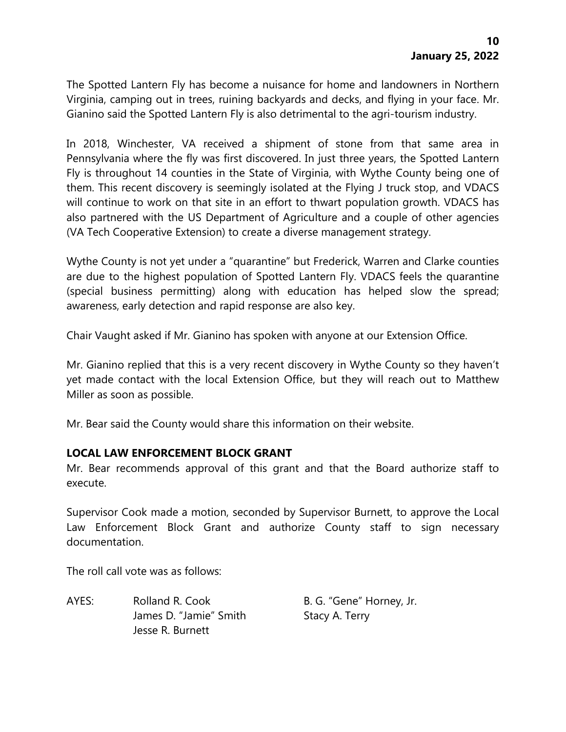The Spotted Lantern Fly has become a nuisance for home and landowners in Northern Virginia, camping out in trees, ruining backyards and decks, and flying in your face. Mr. Gianino said the Spotted Lantern Fly is also detrimental to the agri-tourism industry.

In 2018, Winchester, VA received a shipment of stone from that same area in Pennsylvania where the fly was first discovered. In just three years, the Spotted Lantern Fly is throughout 14 counties in the State of Virginia, with Wythe County being one of them. This recent discovery is seemingly isolated at the Flying J truck stop, and VDACS will continue to work on that site in an effort to thwart population growth. VDACS has also partnered with the US Department of Agriculture and a couple of other agencies (VA Tech Cooperative Extension) to create a diverse management strategy.

Wythe County is not yet under a "quarantine" but Frederick, Warren and Clarke counties are due to the highest population of Spotted Lantern Fly. VDACS feels the quarantine (special business permitting) along with education has helped slow the spread; awareness, early detection and rapid response are also key.

Chair Vaught asked if Mr. Gianino has spoken with anyone at our Extension Office.

Mr. Gianino replied that this is a very recent discovery in Wythe County so they haven't yet made contact with the local Extension Office, but they will reach out to Matthew Miller as soon as possible.

Mr. Bear said the County would share this information on their website.

#### **LOCAL LAW ENFORCEMENT BLOCK GRANT**

Mr. Bear recommends approval of this grant and that the Board authorize staff to execute.

Supervisor Cook made a motion, seconded by Supervisor Burnett, to approve the Local Law Enforcement Block Grant and authorize County staff to sign necessary documentation.

The roll call vote was as follows:

AYES: Rolland R. Cook B. G. "Gene" Horney, Jr. James D. "Jamie" Smith Stacy A. Terry Jesse R. Burnett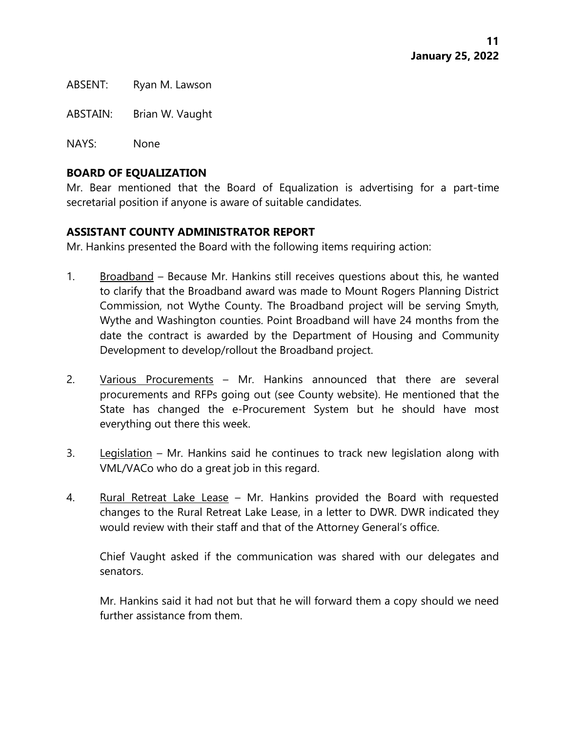ABSENT: Ryan M. Lawson

ABSTAIN: Brian W. Vaught

NAYS: None

## **BOARD OF EQUALIZATION**

Mr. Bear mentioned that the Board of Equalization is advertising for a part-time secretarial position if anyone is aware of suitable candidates.

### **ASSISTANT COUNTY ADMINISTRATOR REPORT**

Mr. Hankins presented the Board with the following items requiring action:

- 1. Broadband Because Mr. Hankins still receives questions about this, he wanted to clarify that the Broadband award was made to Mount Rogers Planning District Commission, not Wythe County. The Broadband project will be serving Smyth, Wythe and Washington counties. Point Broadband will have 24 months from the date the contract is awarded by the Department of Housing and Community Development to develop/rollout the Broadband project.
- 2. Various Procurements Mr. Hankins announced that there are several procurements and RFPs going out (see County website). He mentioned that the State has changed the e-Procurement System but he should have most everything out there this week.
- 3. Legislation Mr. Hankins said he continues to track new legislation along with VML/VACo who do a great job in this regard.
- 4. Rural Retreat Lake Lease Mr. Hankins provided the Board with requested changes to the Rural Retreat Lake Lease, in a letter to DWR. DWR indicated they would review with their staff and that of the Attorney General's office.

Chief Vaught asked if the communication was shared with our delegates and senators.

Mr. Hankins said it had not but that he will forward them a copy should we need further assistance from them.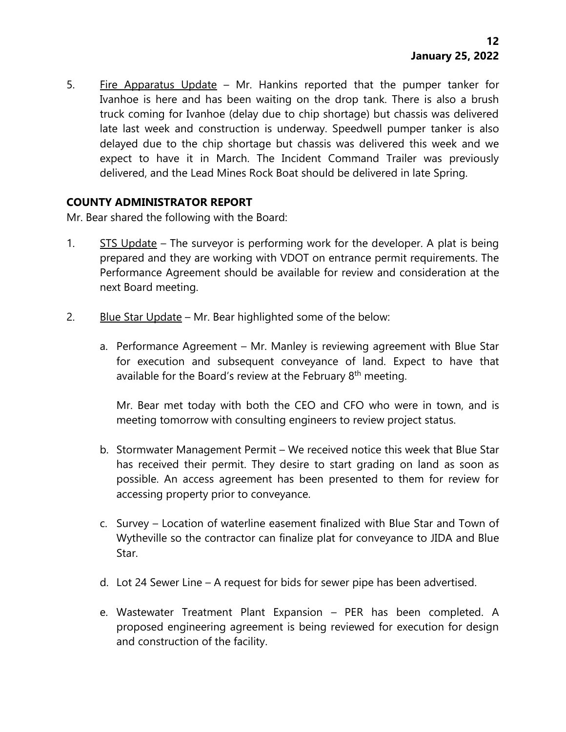5. Fire Apparatus Update – Mr. Hankins reported that the pumper tanker for Ivanhoe is here and has been waiting on the drop tank. There is also a brush truck coming for Ivanhoe (delay due to chip shortage) but chassis was delivered late last week and construction is underway. Speedwell pumper tanker is also delayed due to the chip shortage but chassis was delivered this week and we expect to have it in March. The Incident Command Trailer was previously delivered, and the Lead Mines Rock Boat should be delivered in late Spring.

## **COUNTY ADMINISTRATOR REPORT**

Mr. Bear shared the following with the Board:

- 1. STS Update The surveyor is performing work for the developer. A plat is being prepared and they are working with VDOT on entrance permit requirements. The Performance Agreement should be available for review and consideration at the next Board meeting.
- 2. Blue Star Update Mr. Bear highlighted some of the below:
	- a. Performance Agreement Mr. Manley is reviewing agreement with Blue Star for execution and subsequent conveyance of land. Expect to have that available for the Board's review at the February 8<sup>th</sup> meeting.

Mr. Bear met today with both the CEO and CFO who were in town, and is meeting tomorrow with consulting engineers to review project status.

- b. Stormwater Management Permit We received notice this week that Blue Star has received their permit. They desire to start grading on land as soon as possible. An access agreement has been presented to them for review for accessing property prior to conveyance.
- c. Survey Location of waterline easement finalized with Blue Star and Town of Wytheville so the contractor can finalize plat for conveyance to JIDA and Blue Star.
- d. Lot 24 Sewer Line A request for bids for sewer pipe has been advertised.
- e. Wastewater Treatment Plant Expansion PER has been completed. A proposed engineering agreement is being reviewed for execution for design and construction of the facility.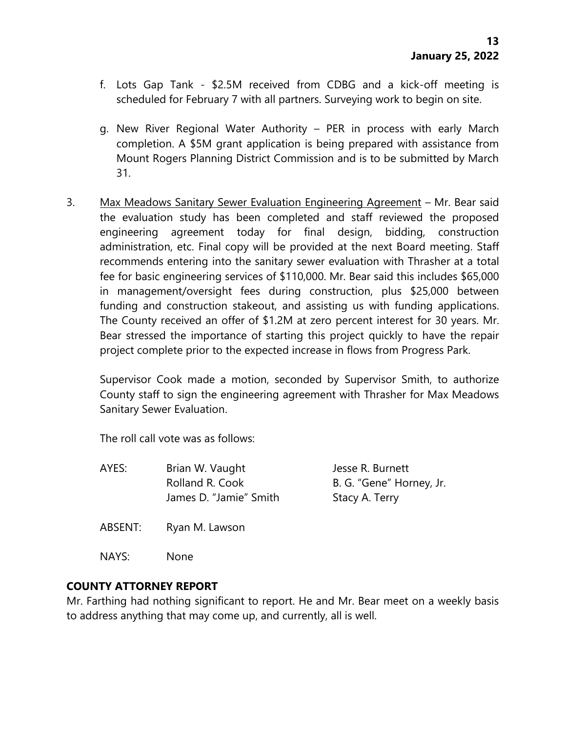- f. Lots Gap Tank \$2.5M received from CDBG and a kick-off meeting is scheduled for February 7 with all partners. Surveying work to begin on site.
- g. New River Regional Water Authority PER in process with early March completion. A \$5M grant application is being prepared with assistance from Mount Rogers Planning District Commission and is to be submitted by March 31.
- 3. Max Meadows Sanitary Sewer Evaluation Engineering Agreement Mr. Bear said the evaluation study has been completed and staff reviewed the proposed engineering agreement today for final design, bidding, construction administration, etc. Final copy will be provided at the next Board meeting. Staff recommends entering into the sanitary sewer evaluation with Thrasher at a total fee for basic engineering services of \$110,000. Mr. Bear said this includes \$65,000 in management/oversight fees during construction, plus \$25,000 between funding and construction stakeout, and assisting us with funding applications. The County received an offer of \$1.2M at zero percent interest for 30 years. Mr. Bear stressed the importance of starting this project quickly to have the repair project complete prior to the expected increase in flows from Progress Park.

Supervisor Cook made a motion, seconded by Supervisor Smith, to authorize County staff to sign the engineering agreement with Thrasher for Max Meadows Sanitary Sewer Evaluation.

The roll call vote was as follows:

- AYES: Brian W. Vaught Jesse R. Burnett Rolland R. Cook B. G. "Gene" Horney, Jr. James D. "Jamie" Smith Stacy A. Terry
- ABSENT: Ryan M. Lawson
- NAYS: None

## **COUNTY ATTORNEY REPORT**

Mr. Farthing had nothing significant to report. He and Mr. Bear meet on a weekly basis to address anything that may come up, and currently, all is well.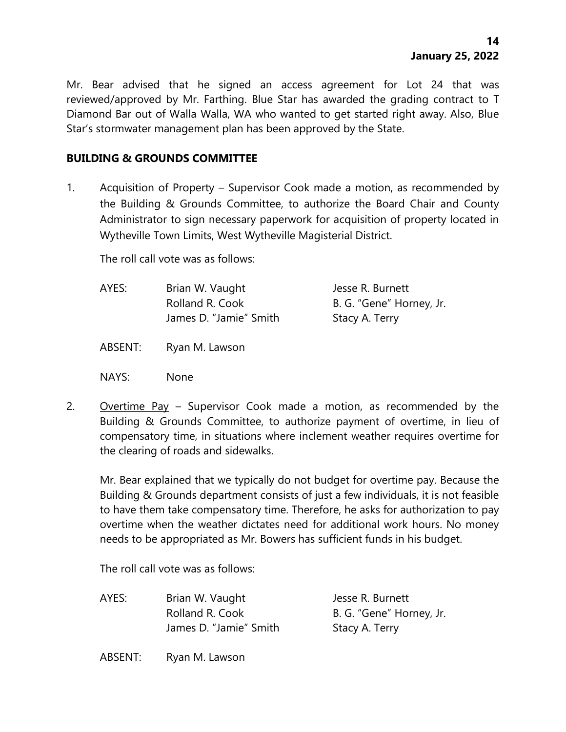Mr. Bear advised that he signed an access agreement for Lot 24 that was reviewed/approved by Mr. Farthing. Blue Star has awarded the grading contract to T Diamond Bar out of Walla Walla, WA who wanted to get started right away. Also, Blue Star's stormwater management plan has been approved by the State.

### **BUILDING & GROUNDS COMMITTEE**

1. Acquisition of Property – Supervisor Cook made a motion, as recommended by the Building & Grounds Committee, to authorize the Board Chair and County Administrator to sign necessary paperwork for acquisition of property located in Wytheville Town Limits, West Wytheville Magisterial District.

The roll call vote was as follows:

| AYES: | Brian W. Vaught        | Jesse R. Burnett         |
|-------|------------------------|--------------------------|
|       | Rolland R. Cook        | B. G. "Gene" Horney, Jr. |
|       | James D. "Jamie" Smith | Stacy A. Terry           |

ABSENT: Ryan M. Lawson

- NAYS: None
- 2. Overtime Pay Supervisor Cook made a motion, as recommended by the Building & Grounds Committee, to authorize payment of overtime, in lieu of compensatory time, in situations where inclement weather requires overtime for the clearing of roads and sidewalks.

Mr. Bear explained that we typically do not budget for overtime pay. Because the Building & Grounds department consists of just a few individuals, it is not feasible to have them take compensatory time. Therefore, he asks for authorization to pay overtime when the weather dictates need for additional work hours. No money needs to be appropriated as Mr. Bowers has sufficient funds in his budget.

The roll call vote was as follows:

| AYES: | Brian W. Vaught        | Jesse R. Burnett         |
|-------|------------------------|--------------------------|
|       | Rolland R. Cook        | B. G. "Gene" Horney, Jr. |
|       | James D. "Jamie" Smith | Stacy A. Terry           |

ABSENT: Ryan M. Lawson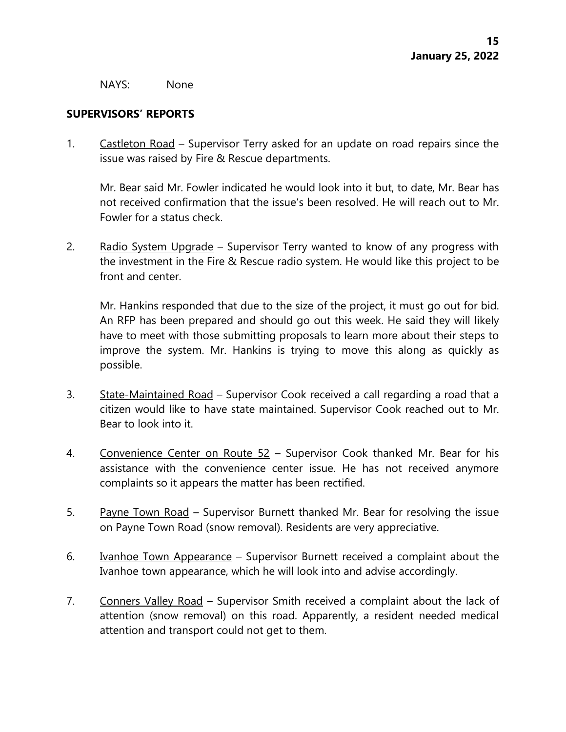#### NAYS: None

## **SUPERVISORS' REPORTS**

1. Castleton Road – Supervisor Terry asked for an update on road repairs since the issue was raised by Fire & Rescue departments.

Mr. Bear said Mr. Fowler indicated he would look into it but, to date, Mr. Bear has not received confirmation that the issue's been resolved. He will reach out to Mr. Fowler for a status check.

2. Radio System Upgrade – Supervisor Terry wanted to know of any progress with the investment in the Fire & Rescue radio system. He would like this project to be front and center.

Mr. Hankins responded that due to the size of the project, it must go out for bid. An RFP has been prepared and should go out this week. He said they will likely have to meet with those submitting proposals to learn more about their steps to improve the system. Mr. Hankins is trying to move this along as quickly as possible.

- 3. State-Maintained Road Supervisor Cook received a call regarding a road that a citizen would like to have state maintained. Supervisor Cook reached out to Mr. Bear to look into it.
- 4. Convenience Center on Route 52 Supervisor Cook thanked Mr. Bear for his assistance with the convenience center issue. He has not received anymore complaints so it appears the matter has been rectified.
- 5. Payne Town Road Supervisor Burnett thanked Mr. Bear for resolving the issue on Payne Town Road (snow removal). Residents are very appreciative.
- 6. Ivanhoe Town Appearance Supervisor Burnett received a complaint about the Ivanhoe town appearance, which he will look into and advise accordingly.
- 7. Conners Valley Road Supervisor Smith received a complaint about the lack of attention (snow removal) on this road. Apparently, a resident needed medical attention and transport could not get to them.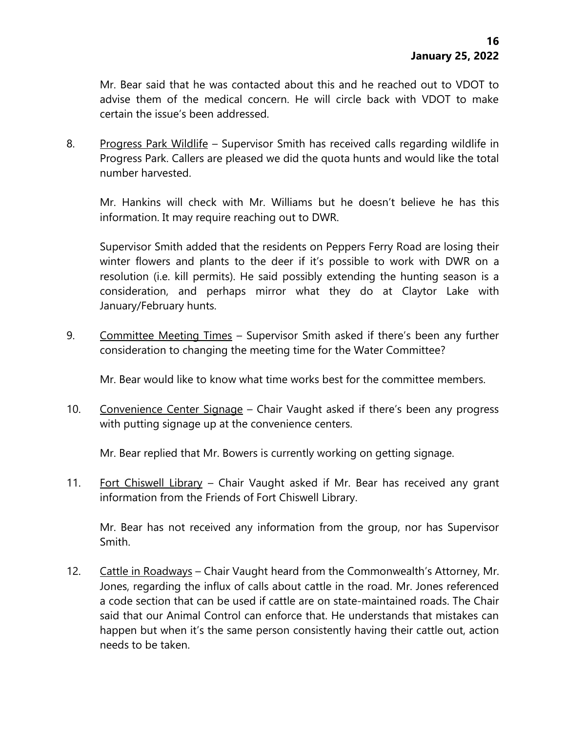Mr. Bear said that he was contacted about this and he reached out to VDOT to advise them of the medical concern. He will circle back with VDOT to make certain the issue's been addressed.

8. Progress Park Wildlife – Supervisor Smith has received calls regarding wildlife in Progress Park. Callers are pleased we did the quota hunts and would like the total number harvested.

Mr. Hankins will check with Mr. Williams but he doesn't believe he has this information. It may require reaching out to DWR.

Supervisor Smith added that the residents on Peppers Ferry Road are losing their winter flowers and plants to the deer if it's possible to work with DWR on a resolution (i.e. kill permits). He said possibly extending the hunting season is a consideration, and perhaps mirror what they do at Claytor Lake with January/February hunts.

9. Committee Meeting Times – Supervisor Smith asked if there's been any further consideration to changing the meeting time for the Water Committee?

Mr. Bear would like to know what time works best for the committee members.

10. Convenience Center Signage – Chair Vaught asked if there's been any progress with putting signage up at the convenience centers.

Mr. Bear replied that Mr. Bowers is currently working on getting signage.

11. Fort Chiswell Library - Chair Vaught asked if Mr. Bear has received any grant information from the Friends of Fort Chiswell Library.

Mr. Bear has not received any information from the group, nor has Supervisor Smith.

12. Cattle in Roadways – Chair Vaught heard from the Commonwealth's Attorney, Mr. Jones, regarding the influx of calls about cattle in the road. Mr. Jones referenced a code section that can be used if cattle are on state-maintained roads. The Chair said that our Animal Control can enforce that. He understands that mistakes can happen but when it's the same person consistently having their cattle out, action needs to be taken.